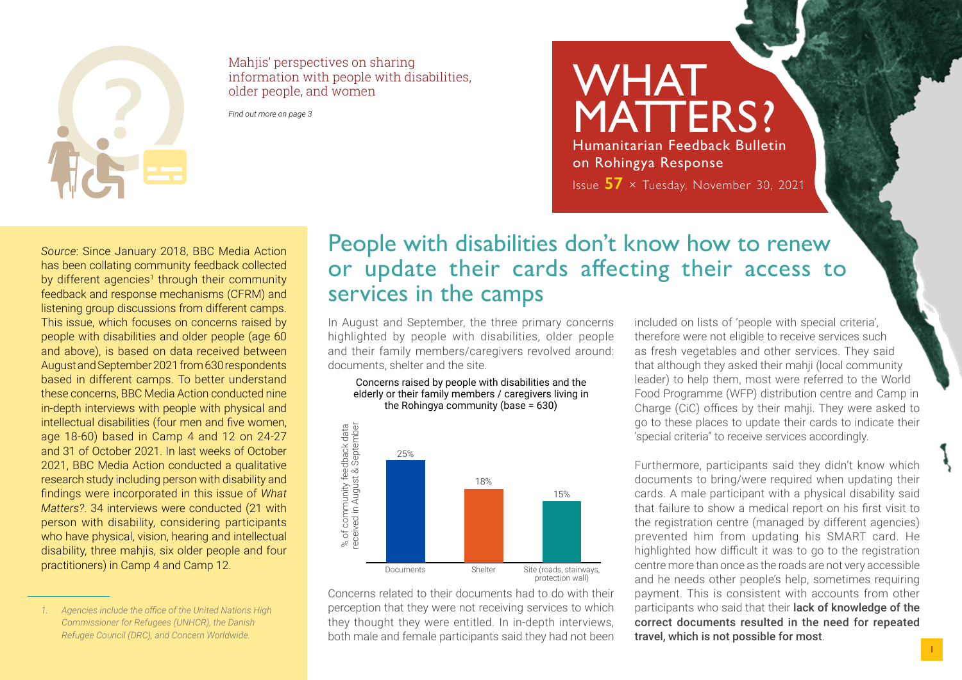

Mahjis' perspectives on sharing information with people with disabilities, older people, and women

*Find out more on page 3*

MATTERS? Humanitarian Feedback Bulletin on Rohingya Response Issue **57** × Tuesday, November 30, 2021

**WHAT** 

*Source*: Since January 2018, BBC Media Action has been collating community feedback collected by different agencies<sup>1</sup> through their community feedback and response mechanisms (CFRM) and listening group discussions from different camps. This issue, which focuses on concerns raised by people with disabilities and older people (age 60 and above), is based on data received between August and September 2021 from 630 respondents based in different camps. To better understand these concerns, BBC Media Action conducted nine in-depth interviews with people with physical and intellectual disabilities (four men and five women, age 18-60) based in Camp 4 and 12 on 24-27 and 31 of October 2021. In last weeks of October 2021, BBC Media Action conducted a qualitative research study including person with disability and findings were incorporated in this issue of *What Matters?*. 34 interviews were conducted (21 with person with disability, considering participants who have physical, vision, hearing and intellectual disability, three mahjis, six older people and four practitioners) in Camp 4 and Camp 12.

## People with disabilities don't know how to renew or update their cards affecting their access to services in the camps

In August and September, the three primary concerns highlighted by people with disabilities, older people and their family members/caregivers revolved around: documents, shelter and the site.

#### Concerns raised by people with disabilities and the elderly or their family members / caregivers living in the Rohingya community (base = 630)



Concerns related to their documents had to do with their perception that they were not receiving services to which they thought they were entitled. In in-depth interviews, both male and female participants said they had not been

included on lists of 'people with special criteria', therefore were not eligible to receive services such as fresh vegetables and other services. They said that although they asked their mahji (local community leader) to help them, most were referred to the World Food Programme (WFP) distribution centre and Camp in Charge (CiC) offices by their mahji. They were asked to go to these places to update their cards to indicate their 'special criteria" to receive services accordingly.

Furthermore, participants said they didn't know which documents to bring/were required when updating their cards. A male participant with a physical disability said that failure to show a medical report on his first visit to the registration centre (managed by different agencies) prevented him from updating his SMART card. He highlighted how difficult it was to go to the registration centre more than once as the roads are not very accessible and he needs other people's help, sometimes requiring payment. This is consistent with accounts from other participants who said that their lack of knowledge of the correct documents resulted in the need for repeated travel, which is not possible for most.

*<sup>1.</sup> Agencies include the office of the United Nations High Commissioner for Refugees (UNHCR), the Danish Refugee Council (DRC), and Concern Worldwide.*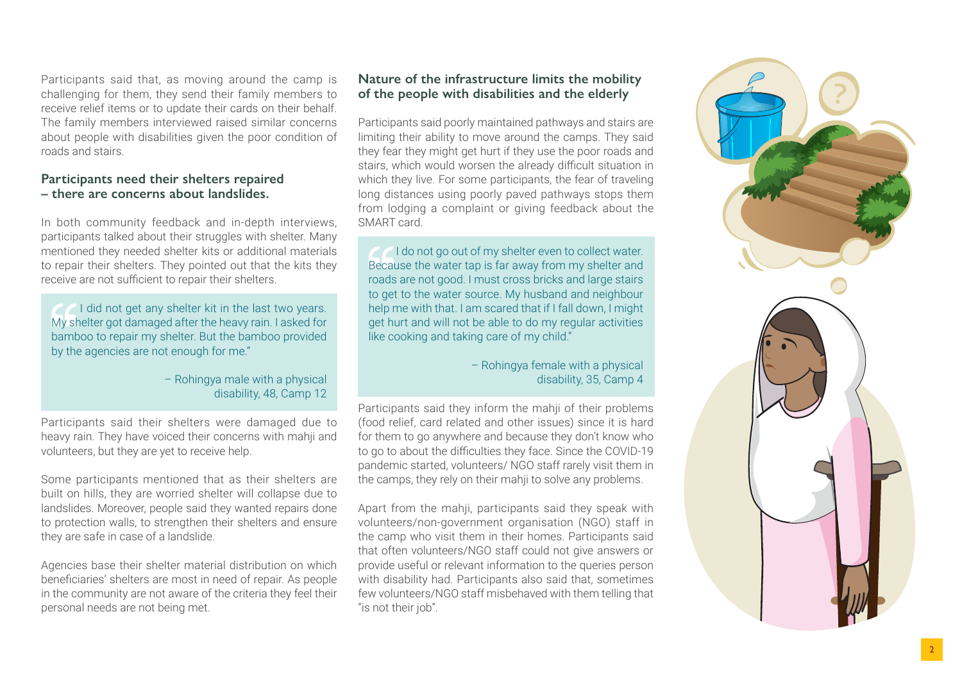Participants said that, as moving around the camp is challenging for them, they send their family members to receive relief items or to update their cards on their behalf. The family members interviewed raised similar concerns about people with disabilities given the poor condition of roads and stairs.

#### **Participants need their shelters repaired – there are concerns about landslides.**

In both community feedback and in-depth interviews, participants talked about their struggles with shelter. Many mentioned they needed shelter kits or additional materials to repair their shelters. They pointed out that the kits they receive are not sufficient to repair their shelters.

I did not get any shelter kit in the last two years. My shelter got damaged after the heavy rain. I asked for bamboo to repair my shelter. But the bamboo provided by the agencies are not enough for me."

> – Rohingya male with a physical disability, 48, Camp 12

Participants said their shelters were damaged due to heavy rain. They have voiced their concerns with mahji and volunteers, but they are yet to receive help.

Some participants mentioned that as their shelters are built on hills, they are worried shelter will collapse due to landslides. Moreover, people said they wanted repairs done to protection walls, to strengthen their shelters and ensure they are safe in case of a landslide.

Agencies base their shelter material distribution on which beneficiaries' shelters are most in need of repair. As people in the community are not aware of the criteria they feel their personal needs are not being met.

### **Nature of the infrastructure limits the mobility of the people with disabilities and the elderly**

Participants said poorly maintained pathways and stairs are limiting their ability to move around the camps. They said they fear they might get hurt if they use the poor roads and stairs, which would worsen the already difficult situation in which they live. For some participants, the fear of traveling long distances using poorly paved pathways stops them from lodging a complaint or giving feedback about the SMART card.

I do not go out of my shelter even to collect water. Because the water tap is far away from my shelter and roads are not good. I must cross bricks and large stairs to get to the water source. My husband and neighbour help me with that. I am scared that if I fall down, I might get hurt and will not be able to do my regular activities like cooking and taking care of my child."

> – Rohingya female with a physical disability, 35, Camp 4

Participants said they inform the mahji of their problems (food relief, card related and other issues) since it is hard for them to go anywhere and because they don't know who to go to about the difficulties they face. Since the COVID-19 pandemic started, volunteers/ NGO staff rarely visit them in the camps, they rely on their mahji to solve any problems.

Apart from the mahji, participants said they speak with volunteers/non-government organisation (NGO) staff in the camp who visit them in their homes. Participants said that often volunteers/NGO staff could not give answers or provide useful or relevant information to the queries person with disability had. Participants also said that, sometimes few volunteers/NGO staff misbehaved with them telling that "is not their job".

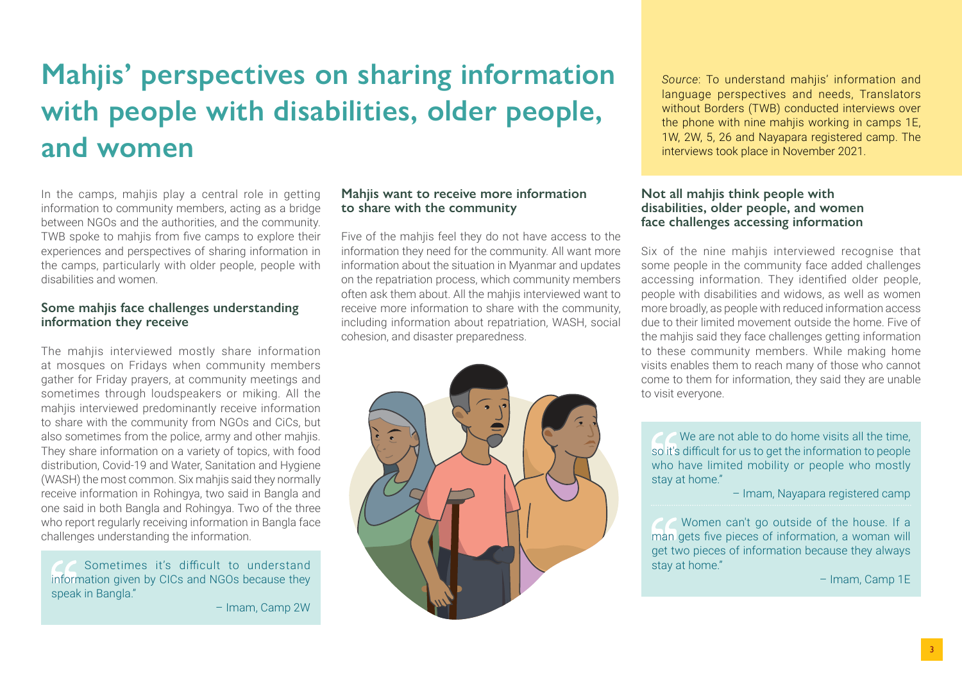# **Mahjis' perspectives on sharing information with people with disabilities, older people, and women**

In the camps, mahiis play a central role in getting information to community members, acting as a bridge between NGOs and the authorities, and the community. TWB spoke to mahjis from five camps to explore their experiences and perspectives of sharing information in the camps, particularly with older people, people with disabilities and women.

#### **Some mahjis face challenges understanding information they receive**

The mahjis interviewed mostly share information at mosques on Fridays when community members gather for Friday prayers, at community meetings and sometimes through loudspeakers or miking. All the mahjis interviewed predominantly receive information to share with the community from NGOs and CiCs, but also sometimes from the police, army and other mahjis. They share information on a variety of topics, with food distribution, Covid-19 and Water, Sanitation and Hygiene (WASH) the most common. Six mahjis said they normally receive information in Rohingya, two said in Bangla and one said in both Bangla and Rohingya. Two of the three who report regularly receiving information in Bangla face challenges understanding the information.

 Sometimes it's difficult to understand information given by CICs and NGOs because they speak in Bangla."

– Imam, Camp 2W

#### **Mahjis want to receive more information to share with the community**

Five of the mahjis feel they do not have access to the information they need for the community. All want more information about the situation in Myanmar and updates on the repatriation process, which community members often ask them about. All the mahjis interviewed want to receive more information to share with the community, including information about repatriation, WASH, social cohesion, and disaster preparedness.



*Source*: To understand mahjis' information and language perspectives and needs, Translators without Borders (TWB) conducted interviews over the phone with nine mahjis working in camps 1E, 1W, 2W, 5, 26 and Nayapara registered camp. The interviews took place in November 2021.

#### **Not all mahjis think people with disabilities, older people, and women face challenges accessing information**

Six of the nine mahjis interviewed recognise that some people in the community face added challenges accessing information. They identified older people, people with disabilities and widows, as well as women more broadly, as people with reduced information access due to their limited movement outside the home. Five of the mahijs said they face challenges getting information to these community members. While making home visits enables them to reach many of those who cannot come to them for information, they said they are unable to visit everyone.

We are not able to do home visits all the time, so it's difficult for us to get the information to people who have limited mobility or people who mostly stay at home."

– Imam, Nayapara registered camp

 Women can't go outside of the house. If a man gets five pieces of information, a woman will get two pieces of information because they always stay at home."

– Imam, Camp 1E